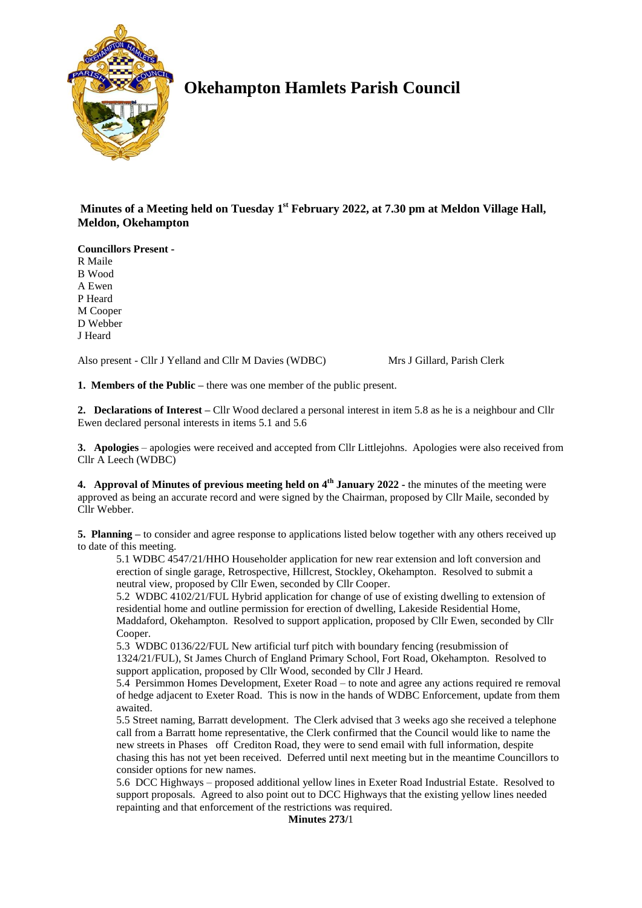

# **Okehampton Hamlets Parish Council**

**Minutes of a Meeting held on Tuesday 1 st February 2022, at 7.30 pm at Meldon Village Hall, Meldon, Okehampton**

**Councillors Present -**

R Maile

B Wood

A Ewen P Heard

M Cooper

D Webber

J Heard

Also present - Cllr J Yelland and Cllr M Davies (WDBC) Mrs J Gillard, Parish Clerk

**1. Members of the Public –** there was one member of the public present.

**2. Declarations of Interest –** Cllr Wood declared a personal interest in item 5.8 as he is a neighbour and Cllr Ewen declared personal interests in items 5.1 and 5.6

**3. Apologies** – apologies were received and accepted from Cllr Littlejohns. Apologies were also received from Cllr A Leech (WDBC)

**4.** Approval of Minutes of previous meeting held on 4<sup>th</sup> January 2022 - the minutes of the meeting were approved as being an accurate record and were signed by the Chairman, proposed by Cllr Maile, seconded by Cllr Webber.

**5. Planning –** to consider and agree response to applications listed below together with any others received up to date of this meeting.

5.1 WDBC 4547/21/HHO Householder application for new rear extension and loft conversion and erection of single garage, Retrospective, Hillcrest, Stockley, Okehampton. Resolved to submit a neutral view, proposed by Cllr Ewen, seconded by Cllr Cooper.

5.2 WDBC 4102/21/FUL Hybrid application for change of use of existing dwelling to extension of residential home and outline permission for erection of dwelling, Lakeside Residential Home, Maddaford, Okehampton. Resolved to support application, proposed by Cllr Ewen, seconded by Cllr Cooper.

5.3 WDBC 0136/22/FUL New artificial turf pitch with boundary fencing (resubmission of 1324/21/FUL), St James Church of England Primary School, Fort Road, Okehampton. Resolved to support application, proposed by Cllr Wood, seconded by Cllr J Heard.

5.4 Persimmon Homes Development, Exeter Road – to note and agree any actions required re removal of hedge adjacent to Exeter Road. This is now in the hands of WDBC Enforcement, update from them awaited.

5.5 Street naming, Barratt development. The Clerk advised that 3 weeks ago she received a telephone call from a Barratt home representative, the Clerk confirmed that the Council would like to name the new streets in Phases off Crediton Road, they were to send email with full information, despite chasing this has not yet been received. Deferred until next meeting but in the meantime Councillors to consider options for new names.

5.6 DCC Highways – proposed additional yellow lines in Exeter Road Industrial Estate. Resolved to support proposals. Agreed to also point out to DCC Highways that the existing yellow lines needed repainting and that enforcement of the restrictions was required.

**Minutes 273/**1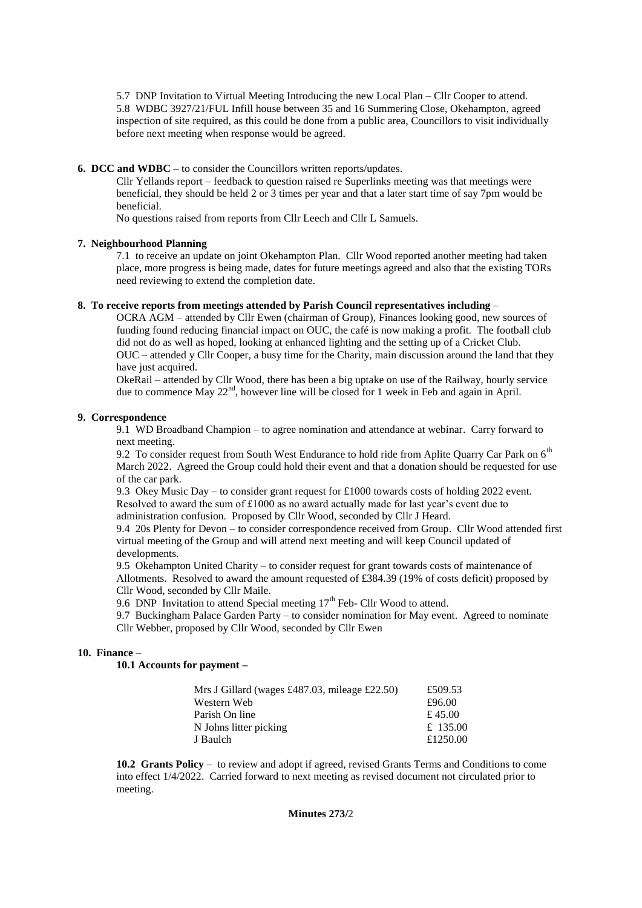5.7 DNP Invitation to Virtual Meeting Introducing the new Local Plan – Cllr Cooper to attend. 5.8 WDBC 3927/21/FUL Infill house between 35 and 16 Summering Close, Okehampton, agreed inspection of site required, as this could be done from a public area, Councillors to visit individually before next meeting when response would be agreed.

## **6. DCC and WDBC –** to consider the Councillors written reports/updates.

Cllr Yellands report – feedback to question raised re Superlinks meeting was that meetings were beneficial, they should be held 2 or 3 times per year and that a later start time of say 7pm would be beneficial.

No questions raised from reports from Cllr Leech and Cllr L Samuels.

#### **7. Neighbourhood Planning**

7.1 to receive an update on joint Okehampton Plan. Cllr Wood reported another meeting had taken place, more progress is being made, dates for future meetings agreed and also that the existing TORs need reviewing to extend the completion date.

#### **8. To receive reports from meetings attended by Parish Council representatives including** –

OCRA AGM – attended by Cllr Ewen (chairman of Group), Finances looking good, new sources of funding found reducing financial impact on OUC, the café is now making a profit. The football club did not do as well as hoped, looking at enhanced lighting and the setting up of a Cricket Club. OUC – attended y Cllr Cooper, a busy time for the Charity, main discussion around the land that they have just acquired.

OkeRail – attended by Cllr Wood, there has been a big uptake on use of the Railway, hourly service due to commence May 22<sup>nd</sup>, however line will be closed for 1 week in Feb and again in April.

#### **9. Correspondence**

9.1 WD Broadband Champion – to agree nomination and attendance at webinar. Carry forward to next meeting.

9.2 To consider request from South West Endurance to hold ride from Aplite Quarry Car Park on 6<sup>th</sup> March 2022. Agreed the Group could hold their event and that a donation should be requested for use of the car park.

9.3 Okey Music Day – to consider grant request for £1000 towards costs of holding 2022 event. Resolved to award the sum of £1000 as no award actually made for last year's event due to administration confusion. Proposed by Cllr Wood, seconded by Cllr J Heard.

9.4 20s Plenty for Devon – to consider correspondence received from Group. Cllr Wood attended first virtual meeting of the Group and will attend next meeting and will keep Council updated of developments.

9.5 Okehampton United Charity – to consider request for grant towards costs of maintenance of Allotments. Resolved to award the amount requested of £384.39 (19% of costs deficit) proposed by Cllr Wood, seconded by Cllr Maile.

9.6 DNP Invitation to attend Special meeting 17<sup>th</sup> Feb- Cllr Wood to attend.

9.7 Buckingham Palace Garden Party – to consider nomination for May event. Agreed to nominate Cllr Webber, proposed by Cllr Wood, seconded by Cllr Ewen

## **10. Finance** –

**10.1 Accounts for payment –**

| Mrs J Gillard (wages £487.03, mileage £22.50) | £509.53  |
|-----------------------------------------------|----------|
| Western Web                                   | £96.00   |
| Parish On line                                | £ 45.00  |
| N Johns litter picking                        | £ 135.00 |
| J Baulch                                      | £1250.00 |

**10.2 Grants Policy** – to review and adopt if agreed, revised Grants Terms and Conditions to come into effect 1/4/2022. Carried forward to next meeting as revised document not circulated prior to meeting.